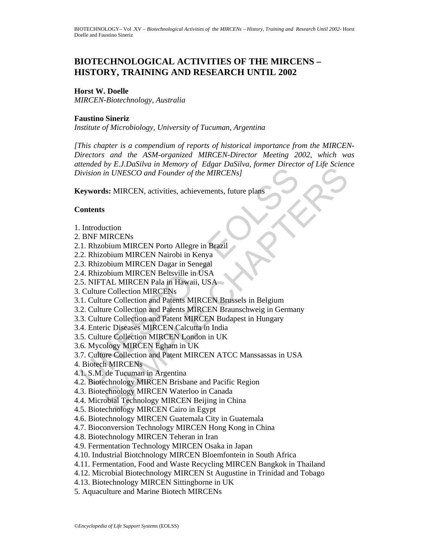# **BIOTECHNOLOGICAL ACTIVITIES OF THE MIRCENS – HISTORY, TRAINING AND RESEARCH UNTIL 2002**

#### **Horst W. Doelle**

*MIRCEN-Biotechnology, Australia* 

#### **Faustino Sineriz**

*Institute of Microbiology, University of Tucuman, Argentina* 

Matter Collection and Patent MRCEN Brisban in UNESCO, and Founder of the MIRCENs<br>
(eywords: MIRCEN, activities, achievements, future plans<br>
(ontents<br>
1. Rhzobium MIRCEN Porto Allegre in Brazil<br>
2. Rhizobium MIRCEN Porto Al by Exaction of The MIRCEN and Touring of Engine Data Data Discrete in UNESCO and Founder of the MIRCENs]<br>sh: MIRCENs<br>shift CENS and Founder of the MIRCENs]<br>sh: MIRCEN activities, achievements, future plans<br>objuin MIRCEN Po *[This chapter is a compendium of reports of historical importance from the MIRCEN-Directors and the ASM-organized MIRCEN-Director Meeting 2002, which was attended by E.J.DaSilva in Memory of Edgar DaSilva, former Director of Life Science Division in UNESCO and Founder of the MIRCENs]* 

**Keywords:** MIRCEN, activities, achievements, future plans

#### **Contents**

- 1. Introduction
- 2. BNF MIRCENs
- 2.1. Rhzobium MIRCEN Porto Allegre in Brazil
- 2.2. Rhizobium MIRCEN Nairobi in Kenya
- 2.3. Rhizobium MIRCEN Dagar in Senegal
- 2.4. Rhizobium MIRCEN Beltsville in USA
- 2.5. NIFTAL MIRCEN Pala in Hawaii, USA
- 3. Culture Collection MIRCENs
- 3.1. Culture Collection and Patents MIRCEN Brussels in Belgium
- 3.2. Culture Collection and Patents MIRCEN Braunschweig in Germany
- 3.3. Culture Collection and Patent MIRCEN Budapest in Hungary
- 3.4. Enteric Diseases MIRCEN Calcutta in India
- 3.5. Culture Collection MIRCEN London in UK
- 3.6. Mycology MIRCEN Egham in UK
- 3.7. Culture Collection and Patent MIRCEN ATCC Manssassas in USA
- 4. Biotech MIRCENs
- 4.1. S.M. de Tucuman in Argentina
- 4.2. Biotechnology MIRCEN Brisbane and Pacific Region
- 4.3. Biotechnology MIRCEN Waterloo in Canada
- 4.4. Microbial Technology MIRCEN Beijing in China
- 4.5. Biotechnology MIRCEN Cairo in Egypt
- 4.6. Biotechnology MIRCEN Guatemala City in Guatemala
- 4.7. Bioconversion Technology MIRCEN Hong Kong in China
- 4.8. Biotechnology MIRCEN Teheran in Iran
- 4.9. Fermentation Technology MIRCEN Osaka in Japan
- 4.10. Industrial Biotchnology MIRCEN Bloemfontein in South Africa
- 4.11. Fermentation, Food and Waste Recycling MIRCEN Bangkok in Thailand
- 4.12. Microbial Biotechnology MIRCEN St Augustine in Trinidad and Tobago
- 4.13. Biotechnology MIRCEN Sittingborne in UK
- 5. Aquaculture and Marine Biotech MIRCENs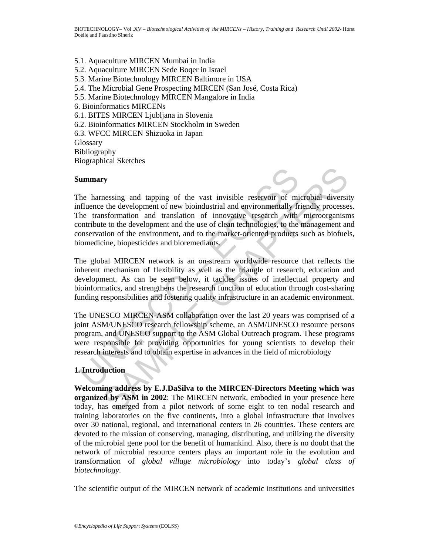- 5.1. Aquaculture MIRCEN Mumbai in India
- 5.2. Aquaculture MIRCEN Sede Boqer in Israel
- 5.3. Marine Biotechnology MIRCEN Baltimore in USA
- 5.4. The Microbial Gene Prospecting MIRCEN (San José, Costa Rica)
- 5.5. Marine Biotechnology MIRCEN Mangalore in India
- 6. Bioinformatics MIRCENs
- 6.1. BITES MIRCEN Ljubljana in Slovenia
- 6.2. Bioinformatics MIRCEN Stockholm in Sweden
- 6.3. WFCC MIRCEN Shizuoka in Japan
- **Glossary** Bibliography Biographical Sketches

#### **Summary**



**unmary**<br>
the harnessing and tapping of the vast invisible reservoir of mi<br>
fluence the development of new bioindustrial and environmentally fr<br>
the transformation and translation of innovative research with<br>
ontribute to Ty<br>
STERN and tapping of the vast invisible reservoir of microbial diversites<br>
the development of new bioindustrial and environmentally friendly processes<br>
ansformation and translation of innovative research with microorga The harnessing and tapping of the vast invisible reservoir of microbial diversity influence the development of new bioindustrial and environmentally friendly processes. The transformation and translation of innovative research with microorganisms contribute to the development and the use of clean technologies, to the management and conservation of the environment, and to the market-oriented products such as biofuels, biomedicine, biopesticides and bioremediants.

The global MIRCEN network is an on-stream worldwide resource that reflects the inherent mechanism of flexibility as well as the triangle of research, education and development. As can be seen below, it tackles issues of intellectual property and bioinformatics, and strengthens the research function of education through cost-sharing funding responsibilities and fostering quality infrastructure in an academic environment.

The UNESCO MIRCEN-ASM collaboration over the last 20 years was comprised of a joint ASM/UNESCO research fellowship scheme, an ASM/UNESCO resource persons program, and UNESCO support to the ASM Global Outreach program. These programs were responsible for providing opportunities for young scientists to develop their research interests and to obtain expertise in advances in the field of microbiology

## **1. Introduction**

**Welcoming address by E.J.DaSilva to the MIRCEN-Directors Meeting which was organized by ASM in 2002**: The MIRCEN network, embodied in your presence here today, has emerged from a pilot network of some eight to ten nodal research and training laboratories on the five continents, into a global infrastructure that involves over 30 national, regional, and international centers in 26 countries. These centers are devoted to the mission of conserving, managing, distributing, and utilizing the diversity of the microbial gene pool for the benefit of humankind. Also, there is no doubt that the network of microbial resource centers plays an important role in the evolution and transformation of *global village microbiology* into today's *global class of biotechnology*.

The scientific output of the MIRCEN network of academic institutions and universities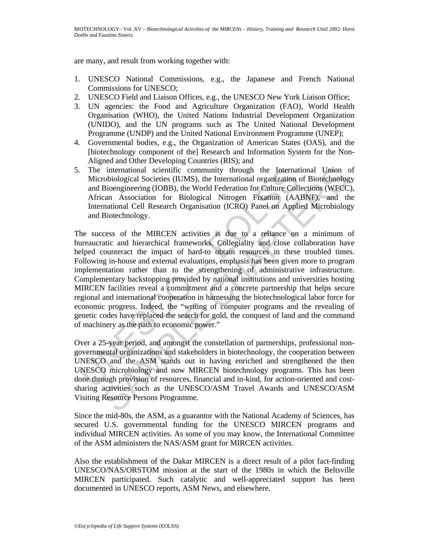are many, and result from working together with:

- 1. UNESCO National Commissions, e.g., the Japanese and French National Commissions for UNESCO;
- 2. UNESCO Field and Liaison Offices, e.g., the UNESCO New York Liaison Office;
- 3. UN agencies: the Food and Agriculture Organization (FAO), World Health Organisation (WHO), the United Nations Industrial Development Organization (UNIDO), and the UN programs such as The United National Development Programme (UNDP) and the United National Environment Programme (UNEP);
- 4. Governmental bodies, e.g., the Organization of American States (OAS), and the [biotechnology component of the] Research and Information System for the Non-Aligned and Other Developing Countries (RIS); and
- 5. The international scientific community through the International Union of Microbiological Societies (IUMS), the International organization of Biotechnology and Bioengineering (IOBB), the World Federation for Culture Collections (WFCC), African Association for Biological Nitrogen Fixation (AABNF), and the International Cell Research Organisation (ICRO) Panel on Applied Microbiology and Biotechnology.

The international scientific community through the Internat<br>Microbiological Societies (IUMS), the International organization<br>and Bioengineering (IOBB), the World Federation for Culture Coll<br>African Association for Biologic international scientific community through the International Union cobiological Societies (UUMS), the International organization of Biotechnology<br>Bioengineering (IOBB), the World Federation for Culture Collections (WFCC<br>ca The success of the MIRCEN activities is due to a reliance on a minimum of bureaucratic and hierarchical frameworks. Collegiality and close collaboration have helped counteract the impact of hard-to obtain resources in these troubled times. Following in-house and external evaluations, emphasis has been given more to program implementation rather than to the strengthening of administrative infrastructure. Complementary backstopping provided by national institutions and universities hosting MIRCEN facilities reveal a commitment and a concrete partnership that helps secure regional and international cooperation in harnessing the biotechnological labor force for economic progress. Indeed, the "writing of computer programs and the revealing of genetic codes have replaced the search for gold, the conquest of land and the command of machinery as the path to economic power."

Over a 25-year period, and amongst the constellation of partnerships, professional nongovernmental organizations and stakeholders in biotechnology, the cooperation between UNESCO and the ASM stands out in having enriched and strengthened the then UNESCO microbiology and now MIRCEN biotechnology programs. This has been done through provision of resources, financial and in-kind, for action-oriented and costsharing activities such as the UNESCO/ASM Travel Awards and UNESCO/ASM Visiting Resource Persons Programme.

Since the mid-80s, the ASM, as a guarantor with the National Academy of Sciences, has secured U.S. governmental funding for the UNESCO MIRCEN programs and individual MIRCEN activities. As some of you may know, the International Committee of the ASM administers the NAS/ASM grant for MIRCEN activities.

Also the establishment of the Dakar MIRCEN is a direct result of a pilot fact-finding UNESCO/NAS/ORSTOM mission at the start of the 1980s in which the Beltsville MIRCEN participated. Such catalytic and well-appreciated support has been documented in UNESCO reports, ASM News, and elsewhere.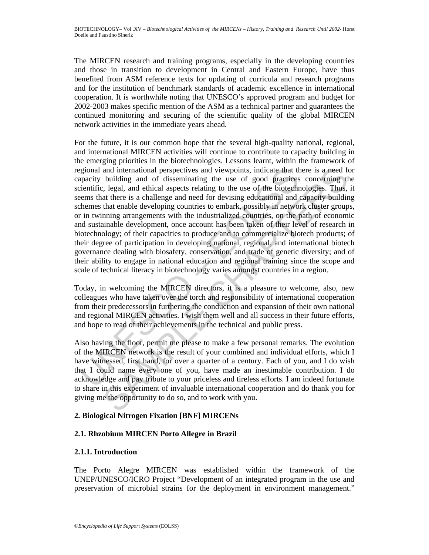The MIRCEN research and training programs, especially in the developing countries and those in transition to development in Central and Eastern Europe, have thus benefited from ASM reference texts for updating of curricula and research programs and for the institution of benchmark standards of academic excellence in international cooperation. It is worthwhile noting that UNESCO's approved program and budget for 2002-2003 makes specific mention of the ASM as a technical partner and guarantees the continued monitoring and securing of the scientific quality of the global MIRCEN network activities in the immediate years ahead.

gional and international perspectives and viewpoints, indicate that the papacity building and of disseminating the use of good practices<br>cientific, legal, and ethical aspects relating to the use of the biotechnic<br>elements and international perspectives and viewpoints, indicate that there is a need fouiling and of disseminating the use of good practices concerning the lively in and chaparitating to the use of the biotechnologies. Thus, at th For the future, it is our common hope that the several high-quality national, regional, and international MIRCEN activities will continue to contribute to capacity building in the emerging priorities in the biotechnologies. Lessons learnt, within the framework of regional and international perspectives and viewpoints, indicate that there is a need for capacity building and of disseminating the use of good practices concerning the scientific, legal, and ethical aspects relating to the use of the biotechnologies. Thus, it seems that there is a challenge and need for devising educational and capacity building schemes that enable developing countries to embark, possibly in network cluster groups, or in twinning arrangements with the industrialized countries, on the path of economic and sustainable development, once account has been taken of their level of research in biotechnology; of their capacities to produce and to commercialize biotech products; of their degree of participation in developing national, regional, and international biotech governance dealing with biosafety, conservation, and trade of genetic diversity; and of their ability to engage in national education and regional training since the scope and scale of technical literacy in biotechnology varies amongst countries in a region.

Today, in welcoming the MIRCEN directors, it is a pleasure to welcome, also, new colleagues who have taken over the torch and responsibility of international cooperation from their predecessors in furthering the conduction and expansion of their own national and regional MIRCEN activities. I wish them well and all success in their future efforts, and hope to read of their achievements in the technical and public press.

Also having the floor, permit me please to make a few personal remarks. The evolution of the MIRCEN network is the result of your combined and individual efforts, which I have witnessed, first hand, for over a quarter of a century. Each of you, and I do wish that I could name every one of you, have made an inestimable contribution. I do acknowledge and pay tribute to your priceless and tireless efforts. I am indeed fortunate to share in this experiment of invaluable international cooperation and do thank you for giving me the opportunity to do so, and to work with you.

## **2. Biological Nitrogen Fixation [BNF] MIRCENs**

## **2.1. Rhzobium MIRCEN Porto Allegre in Brazil**

## **2.1.1. Introduction**

The Porto Alegre MIRCEN was established within the framework of the UNEP/UNESCO/ICRO Project "Development of an integrated program in the use and preservation of microbial strains for the deployment in environment management."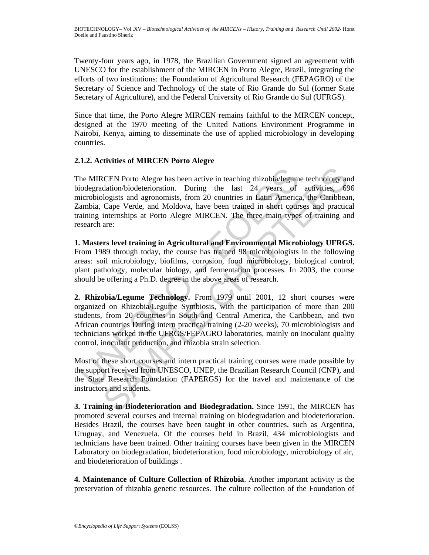Twenty-four years ago, in 1978, the Brazilian Government signed an agreement with UNESCO for the establishment of the MIRCEN in Porto Alegre, Brazil, integrating the efforts of two institutions: the Foundation of Agricultural Research (FEPAGRO) of the Secretary of Science and Technology of the state of Rio Grande do Sul (former State Secretary of Agriculture), and the Federal University of Rio Grande do Sul (UFRGS).

Since that time, the Porto Alegre MIRCEN remains faithful to the MIRCEN concept, designed at the 1970 meeting of the United Nations Environment Programme in Nairobi, Kenya, aiming to disseminate the use of applied microbiology in developing countries.

## **2.1.2. Activities of MIRCEN Porto Alegre**

he MIRCEN Porto Alegre has been active in teaching rhizobia/legum<br>iodegradation/biodeterioration. During the last 24 years of<br>icrobiologists and agronomists, from 20 countries in Latin America<br>ambia, Cape Verde, and Moldov CEN Porto Alegre has been active in teaching mizobia/legume technology and<br>ation/biodeterioration. During the last 24 years of activities, 69<br>logists and agronomists, from 20 countries in Latin America, the Caribbear<br>Cape The MIRCEN Porto Alegre has been active in teaching rhizobia/legume technology and biodegradation/biodeterioration. During the last 24 years of activities, 696 microbiologists and agronomists, from 20 countries in Latin America, the Caribbean, Zambia, Cape Verde, and Moldova, have been trained in short courses and practical training internships at Porto Alegre MIRCEN. The three main types of training and research are:

**1. Masters level training in Agricultural and Environmental Microbiology UFRGS.**  From 1989 through today, the course has trained 98 microbiologists in the following areas: soil microbiology, biofilms, corrosion, food microbiology, biological control, plant pathology, molecular biology, and fermentation processes. In 2003, the course should be offering a Ph.D. degree in the above areas of research.

**2. Rhizobia/Legume Technology.** From 1979 until 2001, 12 short courses were organized on Rhizobia/Legume Symbiosis, with the participation of more than 200 students, from 20 countries in South and Central America, the Caribbean, and two African countries During intern practical training (2-20 weeks), 70 microbiologists and technicians worked in the UFRGS/FEPAGRO laboratories, mainly on inoculant quality control, inoculant production, and rhizobia strain selection.

Most of these short courses and intern practical training courses were made possible by the support received from UNESCO, UNEP, the Brazilian Research Council (CNP), and the State Research Foundation (FAPERGS) for the travel and maintenance of the instructors and students.

**3. Training in Biodeterioration and Biodegradation.** Since 1991, the MIRCEN has promoted several courses and internal training on biodegradation and biodeterioration. Besides Brazil, the courses have been taught in other countries, such as Argentina, Uruguay, and Venezuela. Of the courses held in Brazil, 434 microbiologists and technicians have been trained. Other training courses have been given in the MIRCEN Laboratory on biodegradation, biodeterioration, food microbiology, microbiology of air, and biodeterioration of buildings .

**4. Maintenance of Culture Collection of Rhizobia**. Another important activity is the preservation of rhizobia genetic resources. The culture collection of the Foundation of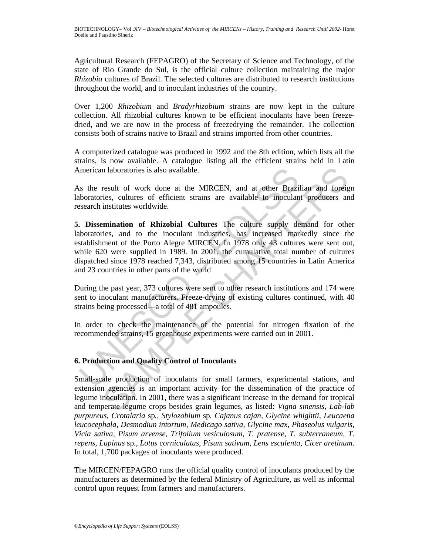Agricultural Research (FEPAGRO) of the Secretary of Science and Technology, of the state of Rio Grande do Sul, is the official culture collection maintaining the major *Rhizobia* cultures of Brazil. The selected cultures are distributed to research institutions throughout the world, and to inoculant industries of the country.

Over 1,200 *Rhizobium* and *Bradyrhizobium* strains are now kept in the culture collection. All rhizobial cultures known to be efficient inoculants have been freezedried, and we are now in the process of freezedrying the remainder. The collection consists both of strains native to Brazil and strains imported from other countries.

A computerized catalogue was produced in 1992 and the 8th edition, which lists all the strains, is now available. A catalogue listing all the efficient strains held in Latin American laboratories is also available.

As the result of work done at the MIRCEN, and at other Brazilian and foreign laboratories, cultures of efficient strains are available to inoculant producers and research institutes worldwide.

merican laboratories is also available.<br>
Somether the MIRCEN, and at other Brazin<br>
boratories, cultures of efficient strains are available to inoculan<br>
search institutes worldwide.<br>
Dissemination of Rhizobial Cultures The In laboratories is also available.<br>
result of work done at the MIRCEN, and at other Brazilian and foreigies, cultures of efficient strains are available to inoculant producers an<br>
institutes worldwide.<br> **EMPLE CHAPTER CHAP 5. Dissemination of Rhizobial Cultures** The culture supply demand for other laboratories, and to the inoculant industries, has increased markedly since the establishment of the Porto Alegre MIRCEN. In 1978 only 43 cultures were sent out, while 620 were supplied in 1989. In 2001, the cumulative total number of cultures dispatched since 1978 reached 7,343, distributed among 15 countries in Latin America and 23 countries in other parts of the world

During the past year, 373 cultures were sent to other research institutions and 174 were sent to inoculant manufacturers. Freeze-drying of existing cultures continued, with 40 strains being processed—a total of 481 ampoules.

In order to check the maintenance of the potential for nitrogen fixation of the recommended strains, 15 greenhouse experiments were carried out in 2001.

## **6. Production and Quality Control of Inoculants**

Small-scale production of inoculants for small farmers, experimental stations, and extension agencies is an important activity for the dissemination of the practice of legume inoculation. In 2001, there was a significant increase in the demand for tropical and temperate legume crops besides grain legumes, as listed: *Vigna sinensis, Lab-lab purpureus, Crotalaria* sp*., Stylozobium* sp*. Cajanus cajan, Glycine whightii, Leucaena leucocephala, Desmodiun intortum, Medicago sativa, Glycine max, Phaseolus vulgaris, Vicia sativa, Pisum arvense, Trifolium vesiculosum, T. pratense, T. subterraneum, T. repens, Lupinus* sp*., Lotus corniculatus, Pisum sativum, Lens esculenta, Cicer aretinum*. In total, 1,700 packages of inoculants were produced.

The MIRCEN/FEPAGRO runs the official quality control of inoculants produced by the manufacturers as determined by the federal Ministry of Agriculture, as well as informal control upon request from farmers and manufacturers.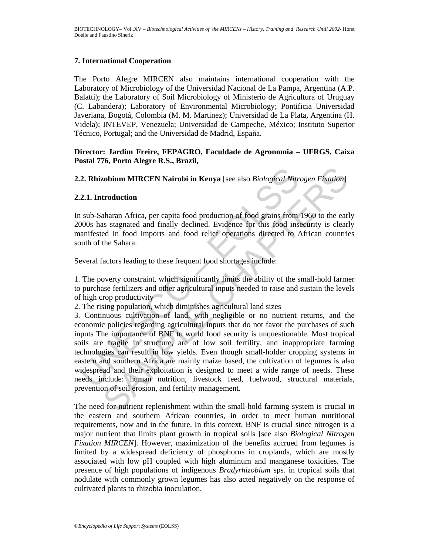#### **7. International Cooperation**

The Porto Alegre MIRCEN also maintains international cooperation with the Laboratory of Microbiology of the Universidad Nacional de La Pampa, Argentina (A.P. Balatti); the Laboratory of Soil Microbiology of Ministerio de Agricultura of Uruguay (C. Labandera); Laboratory of Environmental Microbiology; Pontificia Universidad Javeriana, Bogotá, Colombia (M. M. Martinez); Universidad de La Plata, Argentina (H. Videla); INTEVEP, Venezuela; Universidad de Campeche, México; Instituto Superior Técnico, Portugal; and the Universidad de Madrid, España.

#### **Director: Jardim Freire, FEPAGRO, Faculdade de Agronomia – UFRGS, Caixa Postal 776, Porto Alegre R.S., Brazil,**

**2.2. Rhizobium MIRCEN Nairobi in Kenya** [see also *Biological Nitrogen Fixation*]

#### **2.2.1. Introduction**

In sub-Saharan Africa, per capita food production of food grains from 1960 to the early 2000s has stagnated and finally declined. Evidence for this food insecurity is clearly manifested in food imports and food relief operations directed to African countries south of the Sahara.

Several factors leading to these frequent food shortages include:

1. The poverty constraint, which significantly limits the ability of the small-hold farmer to purchase fertilizers and other agricultural inputs needed to raise and sustain the levels of high crop productivity

2. The rising population, which diminishes agricultural land sizes

**2. Rhizobium MIRCEN Nairobi in Kenya** [see also *Biological Nitr*<br>**2.1. Introduction**<br>**2.1. Introduction**<br>**2.1. Introduction**<br>**2.1. Introduction**<br>**2.000** has stagnated and finally declined. Evidence for this food inso<br>un **zobium MIRCEN Nairobi in Kenya** [see also *Biological Nitrogen Fixation*]<br> **troduction**<br> **troduction**<br> **chapted** and finally declined. Evidence for this food insecurity is clear<br>
as stagnated and finally declined. Evidenc 3. Continuous cultivation of land, with negligible or no nutrient returns, and the economic policies regarding agricultural inputs that do not favor the purchases of such inputs The importance of BNF to world food security is unquestionable. Most tropical soils are fragile in structure, are of low soil fertility, and inappropriate farming technologies can result in low yields. Even though small-holder cropping systems in eastern and southern Africa are mainly maize based, the cultivation of legumes is also widespread and their exploitation is designed to meet a wide range of needs. These needs include: human nutrition, livestock feed, fuelwood, structural materials, prevention of soil erosion, and fertility management.

The need for nutrient replenishment within the small-hold farming system is crucial in the eastern and southern African countries, in order to meet human nutritional requirements, now and in the future. In this context, BNF is crucial since nitrogen is a major nutrient that limits plant growth in tropical soils [see also *Biological Nitrogen Fixation MIRCEN*]. However, maximization of the benefits accrued from legumes is limited by a widespread deficiency of phosphorus in croplands, which are mostly associated with low pH coupled with high aluminum and manganese toxicities. The presence of high populations of indigenous *Bradyrhizobium* sps. in tropical soils that nodulate with commonly grown legumes has also acted negatively on the response of cultivated plants to rhizobia inoculation.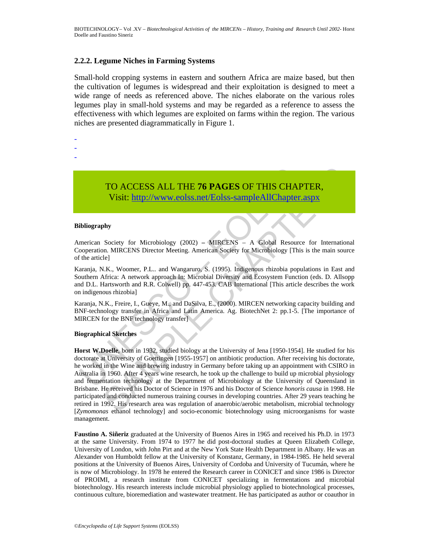#### **2.2.2. Legume Niches in Farming Systems**

Small-hold cropping systems in eastern and southern Africa are maize based, but then the cultivation of legumes is widespread and their exploitation is designed to meet a wide range of needs as referenced above. The niches elaborate on the various roles legumes play in small-hold systems and may be regarded as a reference to assess the effectiveness with which legumes are exploited on farms within the region. The various niches are presented diagrammatically in Figure 1.

- -
- -
- -

TO ACCESS ALL THE **76 PAGES** OF THIS CHAPTER, Visit: http://www.eolss.net/Eolss-sampleAllChapter.aspx

#### **Bibliography**

American Society for Microbiology (2002) **–** MIRCENS – A Global Resource for International Cooperation. MIRCENS Director Meeting. American Society for Microbiology [This is the main source of the article]

Karanja, N.K., Woomer, P.L.. and Wangaruro, S. (1995). Indigenous rhizobia populations in East and Southern Africa: A network approach In: Microbial Diversity and Ecosystem Function (eds. D. Allsopp and D.L. Hartsworth and R.R. Colwell) pp. 447-453. CAB International [This article describes the work on indigenous rhizobia]

Karanja, N.K., Freire, I., Gueye, M., and DaSilva, E., (2000). MIRCEN networking capacity building and BNF-technology transfer in Africa and Latin America. Ag. BiotechNet 2: pp.1-5. [The importance of MIRCEN for the BNF technology transfer]

#### **Biographical Sketches**

TO ACCESS ALL THE 76 PAGES OF THIS CHA<br>Visit: http://www.colss.net/Eolss-sampleAllChapter<br>ibliography<br>merican Society for Microbiology (2002) – MIRCENS – A Global Resource<br>properation. MIRCENS Director Meeting. American So **TO ACCESS ALL THE 76 PAGES OF THIS CHAPTER,**<br>
Visit: http://www.eolss.net/Eolss-sampleAllChapter.aspx<br>
phy<br>
by<br>
by<br>
by<br>
society for Microbiology (2002) – MRCENS – A Global Resource for Internation<br>
on. MIRCENS Director M **Horst W.Doelle**, born in 1932, studied biology at the University of Jena [1950-1954]. He studied for his doctorate at University of Goettingen [1955-1957] on antibiotic production. After receiving his doctorate, he worked in the Wine and brewing industry in Germany before taking up an appointment with CSIRO in Australia in 1960. After 4 years wine research, he took up the challenge to build up microbial physiology and fermentation technology at the Department of Microbiology at the University of Queensland in Brisbane. He received his Doctor of Science in 1976 and his Doctor of Science *honoris causa* in 1998. He participated and conducted numerous training courses in developing countries. After 29 years teaching he retired in 1992. His research area was regulation of anaerobic/aerobic metabolism, microbial technology [*Zymomonas* ethanol technology] and socio-economic biotechnology using microorganisms for waste management.

**Faustino A. Siñeriz** graduated at the University of Buenos Aires in 1965 and received his Ph.D. in 1973 at the same University. From 1974 to 1977 he did post-doctoral studies at Queen Elizabeth College, University of London, with John Pirt and at the New York State Health Department in Albany. He was an Alexander von Humboldt fellow at the University of Konstanz, Germany, in 1984-1985. He held several positions at the University of Buenos Aires, University of Cordoba and University of Tucumán, where he is now of Microbiology. In 1978 he entered the Research career in CONICET and since 1986 is Director of PROIMI, a research institute from CONICET specializing in fermentations and microbial biotechnology. His research interests include microbial physiology applied to biotechnological processes, continuous culture, bioremediation and wastewater treatment. He has participated as author or coauthor in